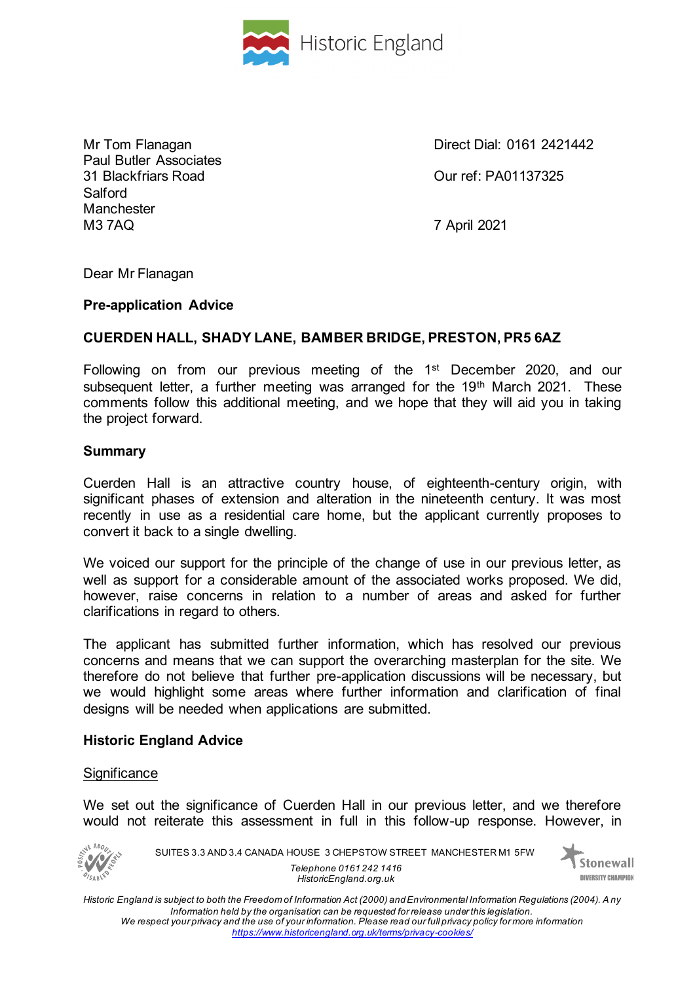

Paul Butler Associates 31 Blackfriars Road Our ref: PA01137325 Salford **Manchester** M3 7AQ 7 April 2021

Mr Tom Flanagan Direct Dial: 0161 2421442

Dear Mr Flanagan

#### **Pre-application Advice**

# **CUERDEN HALL, SHADY LANE, BAMBER BRIDGE, PRESTON, PR5 6AZ**

Following on from our previous meeting of the 1st December 2020, and our subsequent letter, a further meeting was arranged for the 19<sup>th</sup> March 2021. These comments follow this additional meeting, and we hope that they will aid you in taking the project forward.

#### **Summary**

Cuerden Hall is an attractive country house, of eighteenth-century origin, with significant phases of extension and alteration in the nineteenth century. It was most recently in use as a residential care home, but the applicant currently proposes to convert it back to a single dwelling.

We voiced our support for the principle of the change of use in our previous letter, as well as support for a considerable amount of the associated works proposed. We did, however, raise concerns in relation to a number of areas and asked for further clarifications in regard to others.

The applicant has submitted further information, which has resolved our previous concerns and means that we can support the overarching masterplan for the site. We therefore do not believe that further pre-application discussions will be necessary, but we would highlight some areas where further information and clarification of final designs will be needed when applications are submitted.

#### **Historic England Advice**

#### **Significance**

We set out the significance of Cuerden Hall in our previous letter, and we therefore would not reiterate this assessment in full in this follow-up response. However, in



SUITES 3.3 AND 3.4 CANADA HOUSE 3 CHEPSTOW STREET MANCHESTER M1 5FW *Telephone 0161 242 1416 HistoricEngland.org.uk*

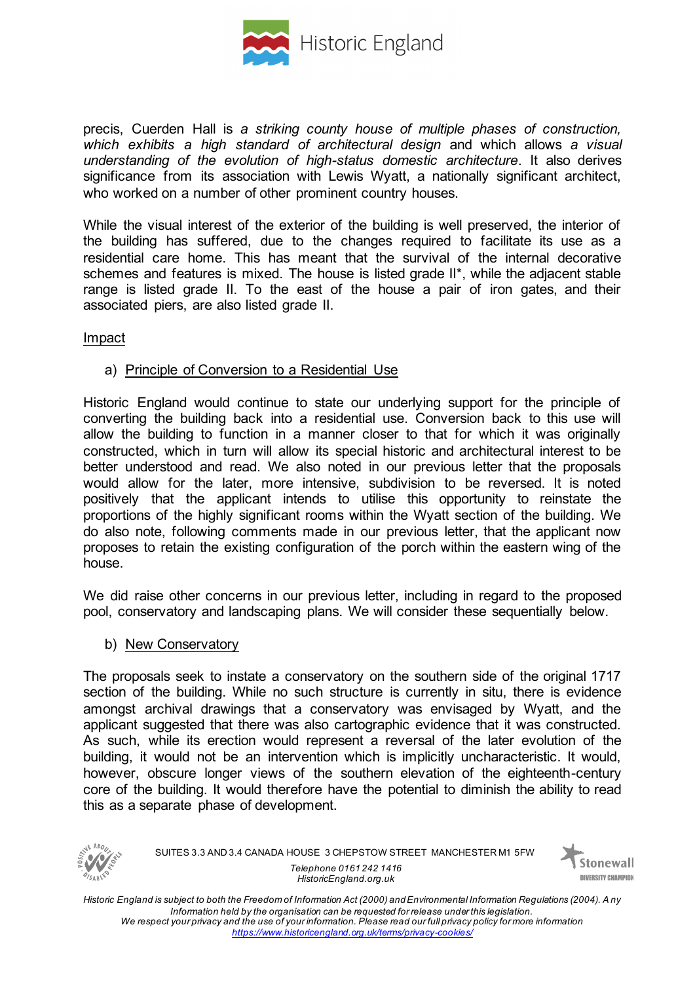

precis, Cuerden Hall is *a striking county house of multiple phases of construction, which exhibits a high standard of architectural design* and which allows *a visual understanding of the evolution of high-status domestic architecture*. It also derives significance from its association with Lewis Wyatt, a nationally significant architect, who worked on a number of other prominent country houses.

While the visual interest of the exterior of the building is well preserved, the interior of the building has suffered, due to the changes required to facilitate its use as a residential care home. This has meant that the survival of the internal decorative schemes and features is mixed. The house is listed grade II\*, while the adjacent stable range is listed grade II. To the east of the house a pair of iron gates, and their associated piers, are also listed grade II.

#### Impact

### a) Principle of Conversion to a Residential Use

Historic England would continue to state our underlying support for the principle of converting the building back into a residential use. Conversion back to this use will allow the building to function in a manner closer to that for which it was originally constructed, which in turn will allow its special historic and architectural interest to be better understood and read. We also noted in our previous letter that the proposals would allow for the later, more intensive, subdivision to be reversed. It is noted positively that the applicant intends to utilise this opportunity to reinstate the proportions of the highly significant rooms within the Wyatt section of the building. We do also note, following comments made in our previous letter, that the applicant now proposes to retain the existing configuration of the porch within the eastern wing of the house.

We did raise other concerns in our previous letter, including in regard to the proposed pool, conservatory and landscaping plans. We will consider these sequentially below.

#### b) New Conservatory

The proposals seek to instate a conservatory on the southern side of the original 1717 section of the building. While no such structure is currently in situ, there is evidence amongst archival drawings that a conservatory was envisaged by Wyatt, and the applicant suggested that there was also cartographic evidence that it was constructed. As such, while its erection would represent a reversal of the later evolution of the building, it would not be an intervention which is implicitly uncharacteristic. It would, however, obscure longer views of the southern elevation of the eighteenth-century core of the building. It would therefore have the potential to diminish the ability to read this as a separate phase of development.



SUITES 3.3 AND 3.4 CANADA HOUSE 3 CHEPSTOW STREET MANCHESTER M1 5FW *Telephone 0161 242 1416 HistoricEngland.org.uk*

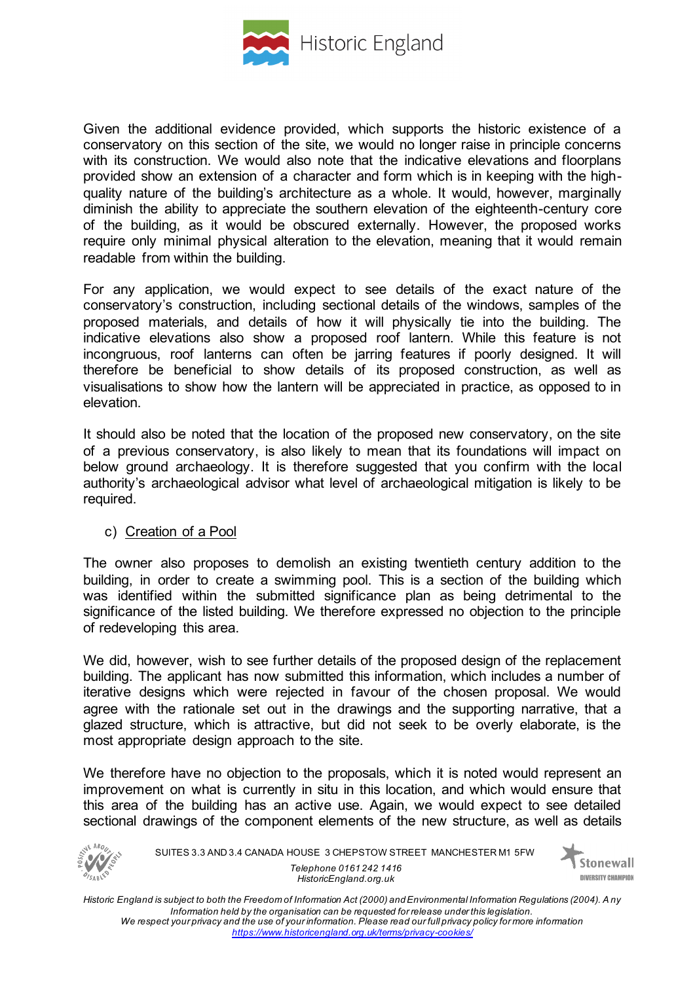

Given the additional evidence provided, which supports the historic existence of a conservatory on this section of the site, we would no longer raise in principle concerns with its construction. We would also note that the indicative elevations and floorplans provided show an extension of a character and form which is in keeping with the highquality nature of the building's architecture as a whole. It would, however, marginally diminish the ability to appreciate the southern elevation of the eighteenth-century core of the building, as it would be obscured externally. However, the proposed works require only minimal physical alteration to the elevation, meaning that it would remain readable from within the building.

For any application, we would expect to see details of the exact nature of the conservatory's construction, including sectional details of the windows, samples of the proposed materials, and details of how it will physically tie into the building. The indicative elevations also show a proposed roof lantern. While this feature is not incongruous, roof lanterns can often be jarring features if poorly designed. It will therefore be beneficial to show details of its proposed construction, as well as visualisations to show how the lantern will be appreciated in practice, as opposed to in elevation.

It should also be noted that the location of the proposed new conservatory, on the site of a previous conservatory, is also likely to mean that its foundations will impact on below ground archaeology. It is therefore suggested that you confirm with the local authority's archaeological advisor what level of archaeological mitigation is likely to be required.

# c) Creation of a Pool

The owner also proposes to demolish an existing twentieth century addition to the building, in order to create a swimming pool. This is a section of the building which was identified within the submitted significance plan as being detrimental to the significance of the listed building. We therefore expressed no objection to the principle of redeveloping this area.

We did, however, wish to see further details of the proposed design of the replacement building. The applicant has now submitted this information, which includes a number of iterative designs which were rejected in favour of the chosen proposal. We would agree with the rationale set out in the drawings and the supporting narrative, that a glazed structure, which is attractive, but did not seek to be overly elaborate, is the most appropriate design approach to the site.

We therefore have no objection to the proposals, which it is noted would represent an improvement on what is currently in situ in this location, and which would ensure that this area of the building has an active use. Again, we would expect to see detailed sectional drawings of the component elements of the new structure, as well as details



SUITES 3.3 AND 3.4 CANADA HOUSE 3 CHEPSTOW STREET MANCHESTER M1 5FW *Telephone 0161 242 1416 HistoricEngland.org.uk*

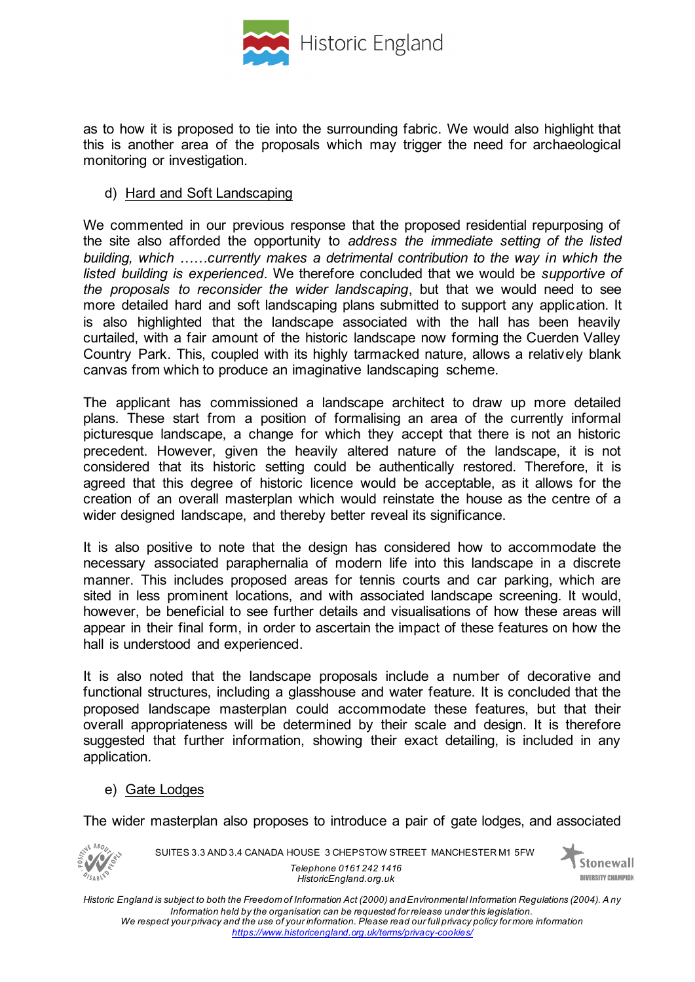

as to how it is proposed to tie into the surrounding fabric. We would also highlight that this is another area of the proposals which may trigger the need for archaeological monitoring or investigation.

### d) Hard and Soft Landscaping

We commented in our previous response that the proposed residential repurposing of the site also afforded the opportunity to *address the immediate setting of the listed building, which ......currently makes a detrimental contribution to the way in which the listed building is experienced*. We therefore concluded that we would be *supportive of the proposals to reconsider the wider landscaping*, but that we would need to see more detailed hard and soft landscaping plans submitted to support any application. It is also highlighted that the landscape associated with the hall has been heavily curtailed, with a fair amount of the historic landscape now forming the Cuerden Valley Country Park. This, coupled with its highly tarmacked nature, allows a relatively blank canvas from which to produce an imaginative landscaping scheme.

The applicant has commissioned a landscape architect to draw up more detailed plans. These start from a position of formalising an area of the currently informal picturesque landscape, a change for which they accept that there is not an historic precedent. However, given the heavily altered nature of the landscape, it is not considered that its historic setting could be authentically restored. Therefore, it is agreed that this degree of historic licence would be acceptable, as it allows for the creation of an overall masterplan which would reinstate the house as the centre of a wider designed landscape, and thereby better reveal its significance.

It is also positive to note that the design has considered how to accommodate the necessary associated paraphernalia of modern life into this landscape in a discrete manner. This includes proposed areas for tennis courts and car parking, which are sited in less prominent locations, and with associated landscape screening. It would, however, be beneficial to see further details and visualisations of how these areas will appear in their final form, in order to ascertain the impact of these features on how the hall is understood and experienced.

It is also noted that the landscape proposals include a number of decorative and functional structures, including a glasshouse and water feature. It is concluded that the proposed landscape masterplan could accommodate these features, but that their overall appropriateness will be determined by their scale and design. It is therefore suggested that further information, showing their exact detailing, is included in any application.

# e) Gate Lodges

The wider masterplan also proposes to introduce a pair of gate lodges, and associated



SUITES 3.3 AND 3.4 CANADA HOUSE 3 CHEPSTOW STREET MANCHESTER M1 5FW *Telephone 0161 242 1416 HistoricEngland.org.uk*

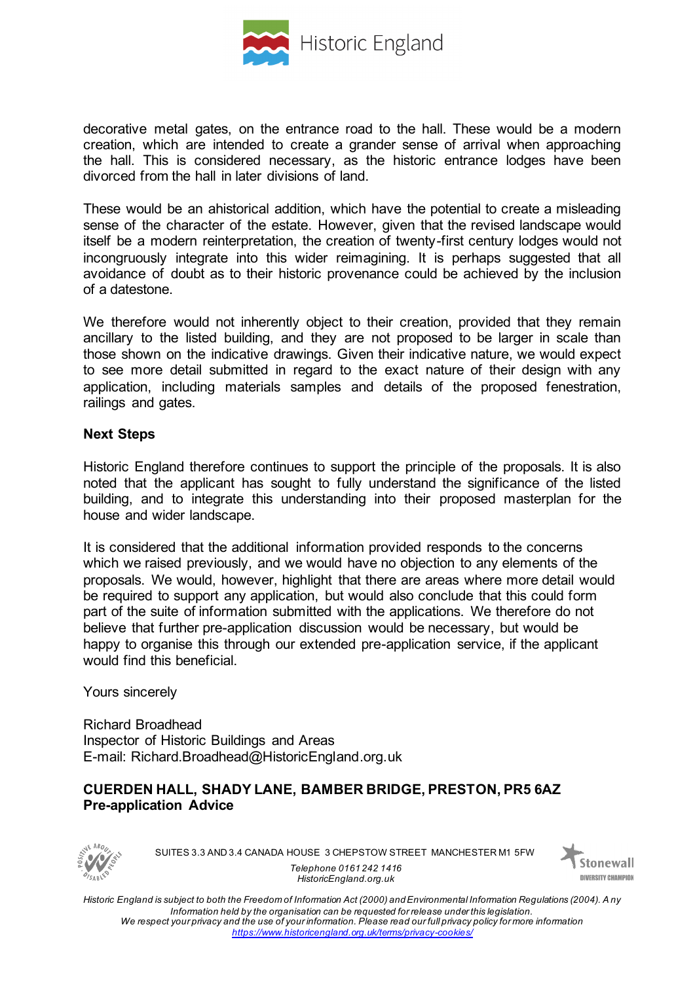

decorative metal gates, on the entrance road to the hall. These would be a modern creation, which are intended to create a grander sense of arrival when approaching the hall. This is considered necessary, as the historic entrance lodges have been divorced from the hall in later divisions of land.

These would be an ahistorical addition, which have the potential to create a misleading sense of the character of the estate. However, given that the revised landscape would itself be a modern reinterpretation, the creation of twenty-first century lodges would not incongruously integrate into this wider reimagining. It is perhaps suggested that all avoidance of doubt as to their historic provenance could be achieved by the inclusion of a datestone.

We therefore would not inherently object to their creation, provided that they remain ancillary to the listed building, and they are not proposed to be larger in scale than those shown on the indicative drawings. Given their indicative nature, we would expect to see more detail submitted in regard to the exact nature of their design with any application, including materials samples and details of the proposed fenestration, railings and gates.

### **Next Steps**

Historic England therefore continues to support the principle of the proposals. It is also noted that the applicant has sought to fully understand the significance of the listed building, and to integrate this understanding into their proposed masterplan for the house and wider landscape.

It is considered that the additional information provided responds to the concerns which we raised previously, and we would have no objection to any elements of the proposals. We would, however, highlight that there are areas where more detail would be required to support any application, but would also conclude that this could form part of the suite of information submitted with the applications. We therefore do not believe that further pre-application discussion would be necessary, but would be happy to organise this through our extended pre-application service, if the applicant would find this beneficial.

Yours sincerely

Richard Broadhead Inspector of Historic Buildings and Areas E-mail: Richard.Broadhead@HistoricEngland.org.uk

# **CUERDEN HALL, SHADY LANE, BAMBER BRIDGE, PRESTON, PR5 6AZ Pre-application Advice**



SUITES 3.3 AND 3.4 CANADA HOUSE 3 CHEPSTOW STREET MANCHESTER M1 5FW *Telephone 0161 242 1416*



*Historic England is subject to both the Freedom of Information Act (2000) and Environmental Information Regulations (2004). A ny Information held by the organisation can be requested for release under this legislation. We respect your privacy and the use of your information. Please read our full privacy policy for more information https://www.historicengland.org.uk/terms/privacy-cookies/*

*HistoricEngland.org.uk*